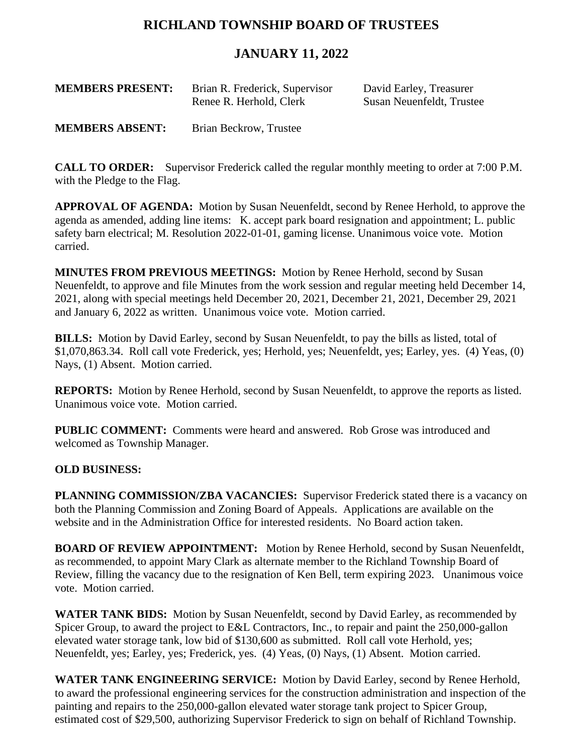# **RICHLAND TOWNSHIP BOARD OF TRUSTEES**

## **JANUARY 11, 2022**

| <b>MEMBERS PRESENT:</b> | Brian R. Frederick, Supervisor<br>Renee R. Herhold, Clerk | David Earley, Treasurer<br>Susan Neuenfeldt, Trustee |
|-------------------------|-----------------------------------------------------------|------------------------------------------------------|
|                         |                                                           |                                                      |

**MEMBERS ABSENT:** Brian Beckrow, Trustee

**CALL TO ORDER:** Supervisor Frederick called the regular monthly meeting to order at 7:00 P.M. with the Pledge to the Flag.

**APPROVAL OF AGENDA:** Motion by Susan Neuenfeldt, second by Renee Herhold, to approve the agenda as amended, adding line items: K. accept park board resignation and appointment; L. public safety barn electrical; M. Resolution 2022-01-01, gaming license. Unanimous voice vote. Motion carried.

**MINUTES FROM PREVIOUS MEETINGS:** Motion by Renee Herhold, second by Susan Neuenfeldt, to approve and file Minutes from the work session and regular meeting held December 14, 2021, along with special meetings held December 20, 2021, December 21, 2021, December 29, 2021 and January 6, 2022 as written. Unanimous voice vote. Motion carried.

**BILLS:** Motion by David Earley, second by Susan Neuenfeldt, to pay the bills as listed, total of \$1,070,863.34. Roll call vote Frederick, yes; Herhold, yes; Neuenfeldt, yes; Earley, yes. (4) Yeas, (0) Nays, (1) Absent. Motion carried.

**REPORTS:** Motion by Renee Herhold, second by Susan Neuenfeldt, to approve the reports as listed. Unanimous voice vote. Motion carried.

**PUBLIC COMMENT:** Comments were heard and answered. Rob Grose was introduced and welcomed as Township Manager.

### **OLD BUSINESS:**

**PLANNING COMMISSION/ZBA VACANCIES:** Supervisor Frederick stated there is a vacancy on both the Planning Commission and Zoning Board of Appeals. Applications are available on the website and in the Administration Office for interested residents. No Board action taken.

**BOARD OF REVIEW APPOINTMENT:** Motion by Renee Herhold, second by Susan Neuenfeldt, as recommended, to appoint Mary Clark as alternate member to the Richland Township Board of Review, filling the vacancy due to the resignation of Ken Bell, term expiring 2023. Unanimous voice vote. Motion carried.

**WATER TANK BIDS:** Motion by Susan Neuenfeldt, second by David Earley, as recommended by Spicer Group, to award the project to E&L Contractors, Inc., to repair and paint the 250,000-gallon elevated water storage tank, low bid of \$130,600 as submitted. Roll call vote Herhold, yes; Neuenfeldt, yes; Earley, yes; Frederick, yes. (4) Yeas, (0) Nays, (1) Absent. Motion carried.

**WATER TANK ENGINEERING SERVICE:** Motion by David Earley, second by Renee Herhold, to award the professional engineering services for the construction administration and inspection of the painting and repairs to the 250,000-gallon elevated water storage tank project to Spicer Group, estimated cost of \$29,500, authorizing Supervisor Frederick to sign on behalf of Richland Township.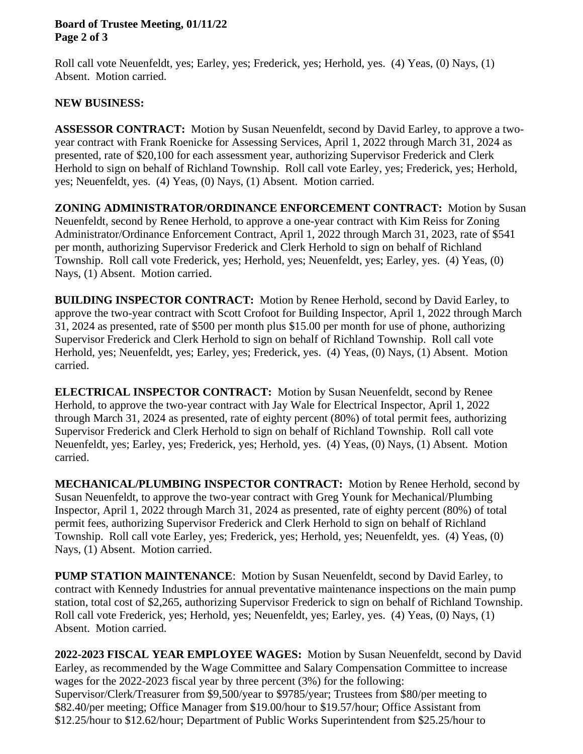#### **Board of Trustee Meeting, 01/11/22 Page 2 of 3**

Roll call vote Neuenfeldt, yes; Earley, yes; Frederick, yes; Herhold, yes. (4) Yeas, (0) Nays, (1) Absent. Motion carried.

### **NEW BUSINESS:**

**ASSESSOR CONTRACT:** Motion by Susan Neuenfeldt, second by David Earley, to approve a twoyear contract with Frank Roenicke for Assessing Services, April 1, 2022 through March 31, 2024 as presented, rate of \$20,100 for each assessment year, authorizing Supervisor Frederick and Clerk Herhold to sign on behalf of Richland Township. Roll call vote Earley, yes; Frederick, yes; Herhold, yes; Neuenfeldt, yes. (4) Yeas, (0) Nays, (1) Absent. Motion carried.

**ZONING ADMINISTRATOR/ORDINANCE ENFORCEMENT CONTRACT:** Motion by Susan Neuenfeldt, second by Renee Herhold, to approve a one-year contract with Kim Reiss for Zoning Administrator/Ordinance Enforcement Contract, April 1, 2022 through March 31, 2023, rate of \$541 per month, authorizing Supervisor Frederick and Clerk Herhold to sign on behalf of Richland Township. Roll call vote Frederick, yes; Herhold, yes; Neuenfeldt, yes; Earley, yes. (4) Yeas, (0) Nays, (1) Absent. Motion carried.

**BUILDING INSPECTOR CONTRACT:** Motion by Renee Herhold, second by David Earley, to approve the two-year contract with Scott Crofoot for Building Inspector, April 1, 2022 through March 31, 2024 as presented, rate of \$500 per month plus \$15.00 per month for use of phone, authorizing Supervisor Frederick and Clerk Herhold to sign on behalf of Richland Township. Roll call vote Herhold, yes; Neuenfeldt, yes; Earley, yes; Frederick, yes. (4) Yeas, (0) Nays, (1) Absent. Motion carried.

**ELECTRICAL INSPECTOR CONTRACT:** Motion by Susan Neuenfeldt, second by Renee Herhold, to approve the two-year contract with Jay Wale for Electrical Inspector, April 1, 2022 through March 31, 2024 as presented, rate of eighty percent (80%) of total permit fees, authorizing Supervisor Frederick and Clerk Herhold to sign on behalf of Richland Township. Roll call vote Neuenfeldt, yes; Earley, yes; Frederick, yes; Herhold, yes. (4) Yeas, (0) Nays, (1) Absent. Motion carried.

**MECHANICAL/PLUMBING INSPECTOR CONTRACT:** Motion by Renee Herhold, second by Susan Neuenfeldt, to approve the two-year contract with Greg Younk for Mechanical/Plumbing Inspector, April 1, 2022 through March 31, 2024 as presented, rate of eighty percent (80%) of total permit fees, authorizing Supervisor Frederick and Clerk Herhold to sign on behalf of Richland Township. Roll call vote Earley, yes; Frederick, yes; Herhold, yes; Neuenfeldt, yes. (4) Yeas, (0) Nays, (1) Absent. Motion carried.

**PUMP STATION MAINTENANCE**: Motion by Susan Neuenfeldt, second by David Earley, to contract with Kennedy Industries for annual preventative maintenance inspections on the main pump station, total cost of \$2,265, authorizing Supervisor Frederick to sign on behalf of Richland Township. Roll call vote Frederick, yes; Herhold, yes; Neuenfeldt, yes; Earley, yes. (4) Yeas, (0) Nays, (1) Absent. Motion carried.

**2022-2023 FISCAL YEAR EMPLOYEE WAGES:** Motion by Susan Neuenfeldt, second by David Earley, as recommended by the Wage Committee and Salary Compensation Committee to increase wages for the 2022-2023 fiscal year by three percent (3%) for the following: Supervisor/Clerk/Treasurer from \$9,500/year to \$9785/year; Trustees from \$80/per meeting to \$82.40/per meeting; Office Manager from \$19.00/hour to \$19.57/hour; Office Assistant from \$12.25/hour to \$12.62/hour; Department of Public Works Superintendent from \$25.25/hour to